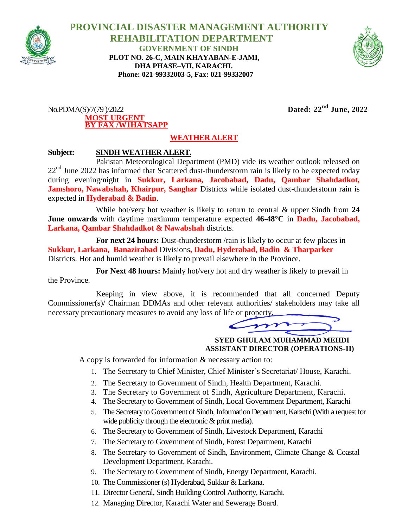

 **PROVINCIAL DISASTER MANAGEMENT AUTHORITY REHABILITATION DEPARTMENT GOVERNMENT OF SINDH PLOT NO. 26-C, MAIN KHAYABAN-E-JAMI, DHA PHASE–VII, KARACHI. Phone: 021-99332003-5, Fax: 021-99332007**



No.PDMA(S)/7(79 )/2022 **Dated: 22nd June, 2022 MOST URGENT BY FAX /W1HATSAPP**

## **WEATHER ALERT**

## **Subject: SINDH WEATHER ALERT.**

Pakistan Meteorological Department (PMD) vide its weather outlook released on  $22<sup>nd</sup>$  June 2022 has informed that Scattered dust-thunderstorm rain is likely to be expected today during evening/night in **Sukkur, Larkana, Jacobabad, Dadu, Qambar Shahdadkot, Jamshoro, Nawabshah, Khairpur, Sanghar** Districts while isolated dust-thunderstorm rain is expected in **Hyderabad & Badin**.

While hot/very hot weather is likely to return to central & upper Sindh from **24 June onwards** with daytime maximum temperature expected **46-48°C** in **Dadu, Jacobabad, Larkana, Qambar Shahdadkot & Nawabshah** districts.

**For next 24 hours:** Dust-thunderstorm /rain is likely to occur at few places in **Sukkur, Larkana, Banazirabad** Divisions**, Dadu, Hyderabad, Badin & Tharparker** Districts. Hot and humid weather is likely to prevail elsewhere in the Province.

For Next 48 hours: Mainly hot/very hot and dry weather is likely to prevail in the Province.

Keeping in view above, it is recommended that all concerned Deputy Commissioner(s)/ Chairman DDMAs and other relevant authorities/ stakeholders may take all necessary precautionary measures to avoid any loss of life or property.

 **SYED GHULAM MUHAMMAD MEHDI ASSISTANT DIRECTOR (OPERATIONS-II)**

A copy is forwarded for information & necessary action to:

- 1. The Secretary to Chief Minister, Chief Minister's Secretariat/ House, Karachi.
- 2. The Secretary to Government of Sindh, Health Department, Karachi.
- 3. The Secretary to Government of Sindh, Agriculture Department, Karachi.
- 4. The Secretary to Government of Sindh, Local Government Department, Karachi
- 5. The Secretary to Government of Sindh, Information Department, Karachi (With a request for wide publicity through the electronic  $\&$  print media).
- 6. The Secretary to Government of Sindh, Livestock Department, Karachi
- 7. The Secretary to Government of Sindh, Forest Department, Karachi
- 8. The Secretary to Government of Sindh, Environment, Climate Change & Coastal Development Department, Karachi.
- 9. The Secretary to Government of Sindh, Energy Department, Karachi.
- 10. The Commissioner (s) Hyderabad, Sukkur & Larkana.
- 11. Director General, Sindh Building Control Authority, Karachi.
- 12. Managing Director, Karachi Water and Sewerage Board.